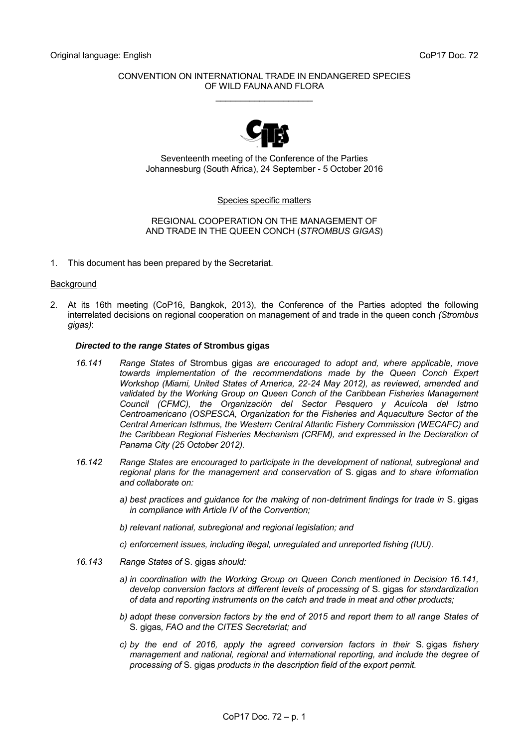## CONVENTION ON INTERNATIONAL TRADE IN ENDANGERED SPECIES OF WILD FAUNA AND FLORA \_\_\_\_\_\_\_\_\_\_\_\_\_\_\_\_\_\_\_\_



Seventeenth meeting of the Conference of the Parties Johannesburg (South Africa), 24 September - 5 October 2016

#### Species specific matters

### REGIONAL COOPERATION ON THE MANAGEMENT OF AND TRADE IN THE QUEEN CONCH (*STROMBUS GIGAS*)

1. This document has been prepared by the Secretariat.

## **Background**

2. At its 16th meeting (CoP16, Bangkok, 2013), the Conference of the Parties adopted the following interrelated decisions on regional cooperation on management of and trade in the queen conch *(Strombus gigas)*:

### *Directed to the range States of* **Strombus gigas**

- *16.141 Range States of* Strombus gigas *are encouraged to adopt and, where applicable, move towards implementation of the recommendations made by the Queen Conch Expert Workshop (Miami, United States of America, 22-24 May 2012), as reviewed, amended and*  validated by the Working Group on Queen Conch of the Caribbean Fisheries Management *Council (CFMC), the Organización del Sector Pesquero y Acuícola del Istmo Centroamericano (OSPESCA, Organization for the Fisheries and Aquaculture Sector of the Central American Isthmus, the Western Central Atlantic Fishery Commission (WECAFC) and the Caribbean Regional Fisheries Mechanism (CRFM), and expressed in the Declaration of Panama City (25 October 2012).*
- *16.142 Range States are encouraged to participate in the development of national, subregional and regional plans for the management and conservation of* S. gigas *and to share information and collaborate on:*
	- *a) best practices and guidance for the making of non-detriment findings for trade in* S. gigas *in compliance with Article IV of the Convention;*
	- *b) relevant national, subregional and regional legislation; and*
	- *c) enforcement issues, including illegal, unregulated and unreported fishing (IUU).*
- *16.143 Range States of* S. gigas *should:*
	- *a) in coordination with the Working Group on Queen Conch mentioned in Decision 16.141, develop conversion factors at different levels of processing of* S. gigas *for standardization of data and reporting instruments on the catch and trade in meat and other products;*
	- *b) adopt these conversion factors by the end of 2015 and report them to all range States of*  S. gigas*, FAO and the CITES Secretariat; and*
	- *c) by the end of 2016, apply the agreed conversion factors in their* S. gigas *fishery management and national, regional and international reporting, and include the degree of processing of* S. gigas *products in the description field of the export permit.*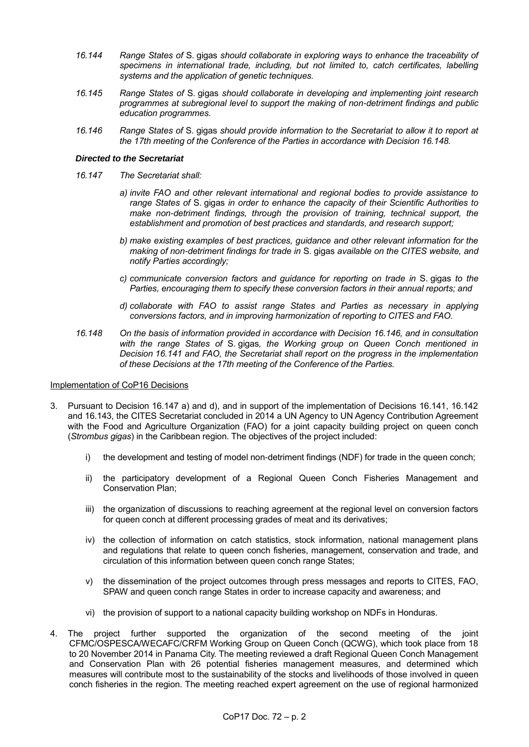- *16.144 Range States of* S. gigas *should collaborate in exploring ways to enhance the traceability of specimens in international trade, including, but not limited to, catch certificates, labelling systems and the application of genetic techniques.*
- *16.145 Range States of* S. gigas *should collaborate in developing and implementing joint research programmes at subregional level to support the making of non-detriment findings and public education programmes.*
- *16.146 Range States of* S. gigas *should provide information to the Secretariat to allow it to report at the 17th meeting of the Conference of the Parties in accordance with Decision 16.148.*

## *Directed to the Secretariat*

- *16.147 The Secretariat shall:*
	- *a) invite FAO and other relevant international and regional bodies to provide assistance to range States of* S. gigas *in order to enhance the capacity of their Scientific Authorities to make non-detriment findings, through the provision of training, technical support, the establishment and promotion of best practices and standards, and research support;*
	- *b) make existing examples of best practices, guidance and other relevant information for the making of non-detriment findings for trade in* S. gigas *available on the CITES website, and notify Parties accordingly;*
	- *c) communicate conversion factors and guidance for reporting on trade in* S. gigas *to the Parties, encouraging them to specify these conversion factors in their annual reports; and*
	- *d) collaborate with FAO to assist range States and Parties as necessary in applying conversions factors, and in improving harmonization of reporting to CITES and FAO.*
- *16.148 On the basis of information provided in accordance with Decision 16.146, and in consultation with the range States of* S. gigas*, the Working group on Queen Conch mentioned in Decision 16.141 and FAO, the Secretariat shall report on the progress in the implementation of these Decisions at the 17th meeting of the Conference of the Parties.*

## Implementation of CoP16 Decisions

- 3. Pursuant to Decision 16.147 a) and d), and in support of the implementation of Decisions 16.141, 16.142 and 16.143, the CITES Secretariat concluded in 2014 a UN Agency to UN Agency Contribution Agreement with the Food and Agriculture Organization (FAO) for a joint capacity building project on queen conch (*Strombus gigas*) in the Caribbean region. The objectives of the project included:
	- i) the development and testing of model non-detriment findings (NDF) for trade in the queen conch;
	- ii) the participatory development of a Regional Queen Conch Fisheries Management and Conservation Plan;
	- iii) the organization of discussions to reaching agreement at the regional level on conversion factors for queen conch at different processing grades of meat and its derivatives;
	- iv) the collection of information on catch statistics, stock information, national management plans and regulations that relate to queen conch fisheries, management, conservation and trade, and circulation of this information between queen conch range States;
	- v) the dissemination of the project outcomes through press messages and reports to CITES, FAO, SPAW and queen conch range States in order to increase capacity and awareness; and
	- vi) the provision of support to a national capacity building workshop on NDFs in Honduras.
- 4. The project further supported the organization of the second meeting of the joint CFMC/OSPESCA/WECAFC/CRFM Working Group on Queen Conch (QCWG), which took place from 18 to 20 November 2014 in Panama City. The meeting reviewed a draft Regional Queen Conch Management and Conservation Plan with 26 potential fisheries management measures, and determined which measures will contribute most to the sustainability of the stocks and livelihoods of those involved in queen conch fisheries in the region. The meeting reached expert agreement on the use of regional harmonized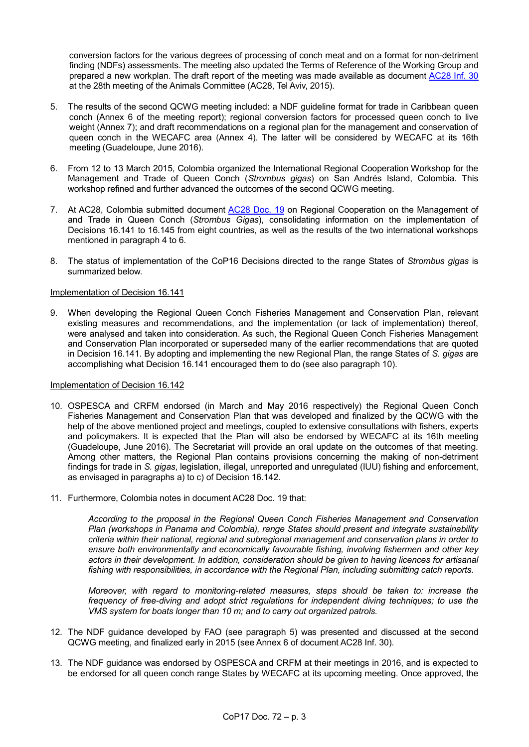conversion factors for the various degrees of processing of conch meat and on a format for non-detriment finding (NDFs) assessments. The meeting also updated the Terms of Reference of the Working Group and prepared a new workplan. The draft report of the meeting was made available as document [AC28 Inf.](https://cites.org/sites/default/files/eng/com/ac/28/Inf/E-AC28-Inf-30.pdf) 30 at the 28th meeting of the Animals Committee (AC28, Tel Aviv, 2015).

- 5. The results of the second QCWG meeting included: a NDF guideline format for trade in Caribbean queen conch (Annex 6 of the meeting report); regional conversion factors for processed queen conch to live weight (Annex 7); and draft recommendations on a regional plan for the management and conservation of queen conch in the WECAFC area (Annex 4). The latter will be considered by WECAFC at its 16th meeting (Guadeloupe, June 2016).
- 6. From 12 to 13 March 2015, Colombia organized the International Regional Cooperation Workshop for the Management and Trade of Queen Conch (*Strombus gigas*) on San Andrés Island, Colombia. This workshop refined and further advanced the outcomes of the second QCWG meeting.
- 7. At AC28, Colombia submitted document [AC28 Doc. 19](https://cites.org/sites/default/files/eng/com/ac/28/E-AC28-19.pdf) on Regional Cooperation on the Management of and Trade in Queen Conch (*Strombus Gigas*), consolidating information on the implementation of Decisions 16.141 to 16.145 from eight countries, as well as the results of the two international workshops mentioned in paragraph 4 to 6.
- 8. The status of implementation of the CoP16 Decisions directed to the range States of *Strombus gigas* is summarized below.

## Implementation of Decision 16.141

9. When developing the Regional Queen Conch Fisheries Management and Conservation Plan, relevant existing measures and recommendations, and the implementation (or lack of implementation) thereof, were analysed and taken into consideration. As such, the Regional Queen Conch Fisheries Management and Conservation Plan incorporated or superseded many of the earlier recommendations that are quoted in Decision 16.141. By adopting and implementing the new Regional Plan, the range States of *S. gigas* are accomplishing what Decision 16.141 encouraged them to do (see also paragraph 10).

## Implementation of Decision 16.142

- 10. OSPESCA and CRFM endorsed (in March and May 2016 respectively) the Regional Queen Conch Fisheries Management and Conservation Plan that was developed and finalized by the QCWG with the help of the above mentioned project and meetings, coupled to extensive consultations with fishers, experts and policymakers. It is expected that the Plan will also be endorsed by WECAFC at its 16th meeting (Guadeloupe, June 2016). The Secretariat will provide an oral update on the outcomes of that meeting. Among other matters, the Regional Plan contains provisions concerning the making of non-detriment findings for trade in *S. gigas*, legislation, illegal, unreported and unregulated (IUU) fishing and enforcement, as envisaged in paragraphs a) to c) of Decision 16.142.
- 11. Furthermore, Colombia notes in document [AC28 Doc. 19](https://cites.org/sites/default/files/eng/com/ac/28/E-AC28-19.pdf) that:

*According to the proposal in the Regional Queen Conch Fisheries Management and Conservation Plan (workshops in Panama and Colombia), range States should present and integrate sustainability criteria within their national, regional and subregional management and conservation plans in order to ensure both environmentally and economically favourable fishing, involving fishermen and other key actors in their development. In addition, consideration should be given to having licences for artisanal fishing with responsibilities, in accordance with the Regional Plan, including submitting catch reports.*

*Moreover, with regard to monitoring-related measures, steps should be taken to: increase the frequency of free-diving and adopt strict regulations for independent diving techniques; to use the VMS system for boats longer than 10 m; and to carry out organized patrols.*

- 12. The NDF guidance developed by FAO (see paragraph 5) was presented and discussed at the second QCWG meeting, and finalized early in 2015 (see Annex 6 of documen[t AC28 Inf. 30\)](https://cites.org/sites/default/files/eng/com/ac/28/Inf/E-AC28-Inf-30.pdf).
- 13. The NDF guidance was endorsed by OSPESCA and CRFM at their meetings in 2016, and is expected to be endorsed for all queen conch range States by WECAFC at its upcoming meeting. Once approved, the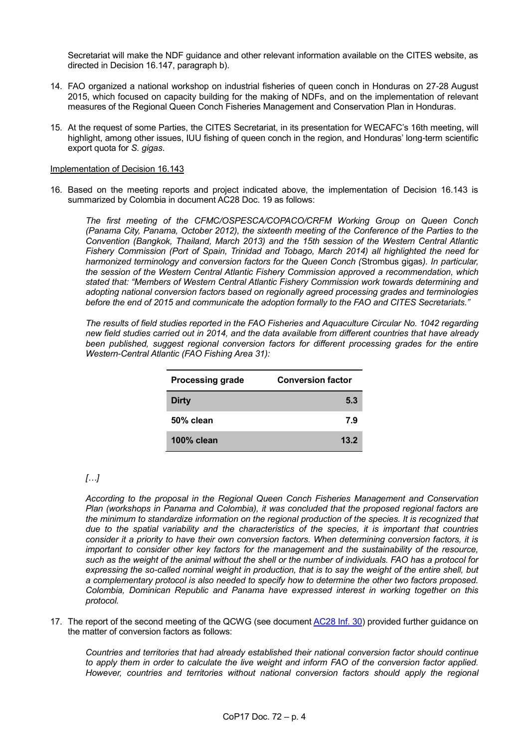Secretariat will make the NDF guidance and other relevant information available on the CITES website, as directed in Decision 16.147, paragraph b).

- 14. FAO organized a national workshop on industrial fisheries of queen conch in Honduras on 27-28 August 2015, which focused on capacity building for the making of NDFs, and on the implementation of relevant measures of the Regional Queen Conch Fisheries Management and Conservation Plan in Honduras.
- 15. At the request of some Parties, the CITES Secretariat, in its presentation for WECAFC's 16th meeting, will highlight, among other issues, IUU fishing of queen conch in the region, and Honduras' long-term scientific export quota for *S. gigas*.

## Implementation of Decision 16.143

16. Based on the meeting reports and project indicated above, the implementation of Decision 16.143 is summarized by Colombia in documen[t AC28 Doc. 19](https://cites.org/sites/default/files/eng/com/ac/28/E-AC28-19.pdf) as follows:

*The first meeting of the CFMC/OSPESCA/COPACO/CRFM Working Group on Queen Conch (Panama City, Panama, October 2012), the sixteenth meeting of the Conference of the Parties to the Convention (Bangkok, Thailand, March 2013) and the 15th session of the Western Central Atlantic Fishery Commission (Port of Spain, Trinidad and Tobago, March 2014) all highlighted the need for harmonized terminology and conversion factors for the Queen Conch (*Strombus gigas*). In particular, the session of the Western Central Atlantic Fishery Commission approved a recommendation, which stated that: "Members of Western Central Atlantic Fishery Commission work towards determining and adopting national conversion factors based on regionally agreed processing grades and terminologies before the end of 2015 and communicate the adoption formally to the FAO and CITES Secretariats."*

*The results of field studies reported in the FAO Fisheries and Aquaculture Circular No. 1042 regarding new field studies carried out in 2014, and the data available from different countries that have already been published, suggest regional conversion factors for different processing grades for the entire Western-Central Atlantic (FAO Fishing Area 31):* 

| <b>Processing grade</b> | <b>Conversion factor</b> |
|-------------------------|--------------------------|
| Dirty                   | 5.3                      |
| 50% clean               | 7.9                      |
| 100% clean              | 13.2                     |

# *[…]*

*According to the proposal in the Regional Queen Conch Fisheries Management and Conservation Plan (workshops in Panama and Colombia), it was concluded that the proposed regional factors are the minimum to standardize information on the regional production of the species. It is recognized that due to the spatial variability and the characteristics of the species, it is important that countries consider it a priority to have their own conversion factors. When determining conversion factors, it is important to consider other key factors for the management and the sustainability of the resource, such as the weight of the animal without the shell or the number of individuals. FAO has a protocol for expressing the so-called nominal weight in production, that is to say the weight of the entire shell, but a complementary protocol is also needed to specify how to determine the other two factors proposed. Colombia, Dominican Republic and Panama have expressed interest in working together on this protocol.* 

17. The report of the second meeting of the QCWG (see document [AC28 Inf. 30\)](https://cites.org/sites/default/files/eng/com/ac/28/Inf/E-AC28-Inf-30.pdf) provided further guidance on the matter of conversion factors as follows:

*Countries and territories that had already established their national conversion factor should continue to apply them in order to calculate the live weight and inform FAO of the conversion factor applied. However, countries and territories without national conversion factors should apply the regional*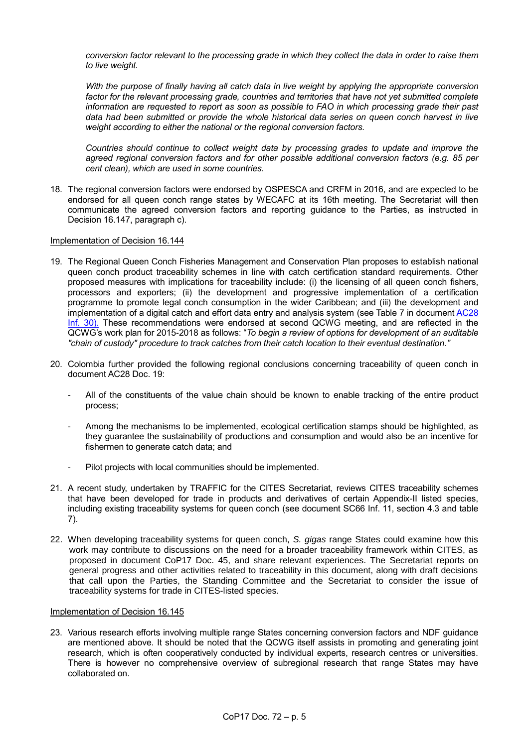*conversion factor relevant to the processing grade in which they collect the data in order to raise them to live weight.*

*With the purpose of finally having all catch data in live weight by applying the appropriate conversion factor for the relevant processing grade, countries and territories that have not yet submitted complete information are requested to report as soon as possible to FAO in which processing grade their past data had been submitted or provide the whole historical data series on queen conch harvest in live weight according to either the national or the regional conversion factors.* 

*Countries should continue to collect weight data by processing grades to update and improve the agreed regional conversion factors and for other possible additional conversion factors (e.g. 85 per cent clean), which are used in some countries.*

18. The regional conversion factors were endorsed by OSPESCA and CRFM in 2016, and are expected to be endorsed for all queen conch range states by WECAFC at its 16th meeting. The Secretariat will then communicate the agreed conversion factors and reporting guidance to the Parties, as instructed in Decision 16.147, paragraph c).

#### Implementation of Decision 16.144

- 19. The Regional Queen Conch Fisheries Management and Conservation Plan proposes to establish national queen conch product traceability schemes in line with catch certification standard requirements. Other proposed measures with implications for traceability include: (i) the licensing of all queen conch fishers, processors and exporters; (ii) the development and progressive implementation of a certification programme to promote legal conch consumption in the wider Caribbean; and (iii) the development and implementation of a digital catch and effort data entry and analysis system (see Table 7 in document [AC28](https://cites.org/sites/default/files/eng/com/ac/28/Inf/E-AC28-Inf-30.pdf)  [Inf. 30\)](https://cites.org/sites/default/files/eng/com/ac/28/Inf/E-AC28-Inf-30.pdf). These recommendations were endorsed at second QCWG meeting, and are reflected in the QCWG's work plan for 2015-2018 as follows: "*To begin a review of options for development of an auditable "chain of custody" procedure to track catches from their catch location to their eventual destination."*
- 20. Colombia further provided the following regional conclusions concerning traceability of queen conch in document [AC28 Doc. 19:](https://cites.org/sites/default/files/eng/com/ac/28/E-AC28-19.pdf)
	- All of the constituents of the value chain should be known to enable tracking of the entire product process;
	- Among the mechanisms to be implemented, ecological certification stamps should be highlighted, as they guarantee the sustainability of productions and consumption and would also be an incentive for fishermen to generate catch data; and
	- Pilot projects with local communities should be implemented.
- 21. A recent study, undertaken by TRAFFIC for the CITES Secretariat, reviews CITES traceability schemes that have been developed for trade in products and derivatives of certain Appendix-II listed species, including existing traceability systems for queen conch (see document [SC66 Inf. 11,](https://cites.org/sites/default/files/eng/com/sc/66/Inf/E-SC66-Inf-12.pdf) section 4.3 and table 7).
- 22. When developing traceability systems for queen conch, *S. gigas* range States could examine how this work may contribute to discussions on the need for a broader traceability framework within CITES, as proposed in document CoP17 Doc. 45, and share relevant experiences. The Secretariat reports on general progress and other activities related to traceability in this document, along with draft decisions that call upon the Parties, the Standing Committee and the Secretariat to consider the issue of traceability systems for trade in CITES-listed species.

## Implementation of Decision 16.145

23. Various research efforts involving multiple range States concerning conversion factors and NDF guidance are mentioned above. It should be noted that the QCWG itself assists in promoting and generating joint research, which is often cooperatively conducted by individual experts, research centres or universities. There is however no comprehensive overview of subregional research that range States may have collaborated on.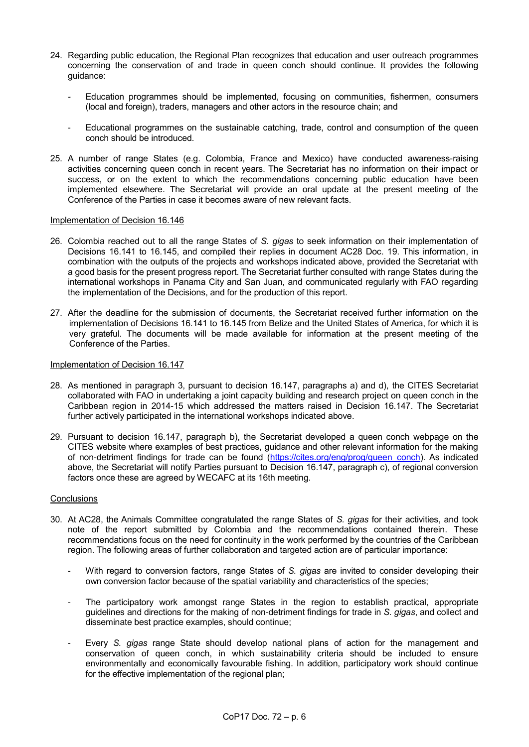- 24. Regarding public education, the Regional Plan recognizes that education and user outreach programmes concerning the conservation of and trade in queen conch should continue. It provides the following guidance:
	- *-* Education programmes should be implemented, focusing on communities, fishermen, consumers (local and foreign), traders, managers and other actors in the resource chain; and
	- Educational programmes on the sustainable catching, trade, control and consumption of the queen conch should be introduced.
- 25. A number of range States (e.g. Colombia, France and Mexico) have conducted awareness-raising activities concerning queen conch in recent years. The Secretariat has no information on their impact or success, or on the extent to which the recommendations concerning public education have been implemented elsewhere. The Secretariat will provide an oral update at the present meeting of the Conference of the Parties in case it becomes aware of new relevant facts.

#### Implementation of Decision 16.146

- 26. Colombia reached out to all the range States of *S. gigas* to seek information on their implementation of Decisions 16.141 to 16.145, and compiled their replies in document [AC28 Doc. 19.](https://cites.org/sites/default/files/eng/com/ac/28/E-AC28-19.pdf) This information, in combination with the outputs of the projects and workshops indicated above, provided the Secretariat with a good basis for the present progress report. The Secretariat further consulted with range States during the international workshops in Panama City and San Juan, and communicated regularly with FAO regarding the implementation of the Decisions, and for the production of this report.
- 27. After the deadline for the submission of documents, the Secretariat received further information on the implementation of Decisions 16.141 to 16.145 from Belize and the United States of America, for which it is very grateful. The documents will be made available for information at the present meeting of the Conference of the Parties.

## Implementation of Decision 16.147

- 28. As mentioned in paragraph 3, pursuant to decision 16.147, paragraphs a) and d), the CITES Secretariat collaborated with FAO in undertaking a joint capacity building and research project on queen conch in the Caribbean region in 2014-15 which addressed the matters raised in Decision 16.147. The Secretariat further actively participated in the international workshops indicated above.
- 29. Pursuant to decision 16.147, paragraph b), the Secretariat developed a queen conch webpage on the CITES website where examples of best practices, guidance and other relevant information for the making of non-detriment findings for trade can be found [\(https://cites.org/eng/prog/queen\\_conch\)](https://cites.org/eng/prog/queen_conch). As indicated above, the Secretariat will notify Parties pursuant to Decision 16.147, paragraph c), of regional conversion factors once these are agreed by WECAFC at its 16th meeting.

#### **Conclusions**

- 30. At AC28, the Animals Committee congratulated the range States of *S. gigas* for their activities, and took note of the report submitted by Colombia and the recommendations contained therein. These recommendations focus on the need for continuity in the work performed by the countries of the Caribbean region. The following areas of further collaboration and targeted action are of particular importance:
	- With regard to conversion factors, range States of *S. gigas* are invited to consider developing their own conversion factor because of the spatial variability and characteristics of the species;
	- The participatory work amongst range States in the region to establish practical, appropriate guidelines and directions for the making of non-detriment findings for trade in *S. gigas*, and collect and disseminate best practice examples, should continue;
	- Every *S. gigas* range State should develop national plans of action for the management and conservation of queen conch, in which sustainability criteria should be included to ensure environmentally and economically favourable fishing. In addition, participatory work should continue for the effective implementation of the regional plan;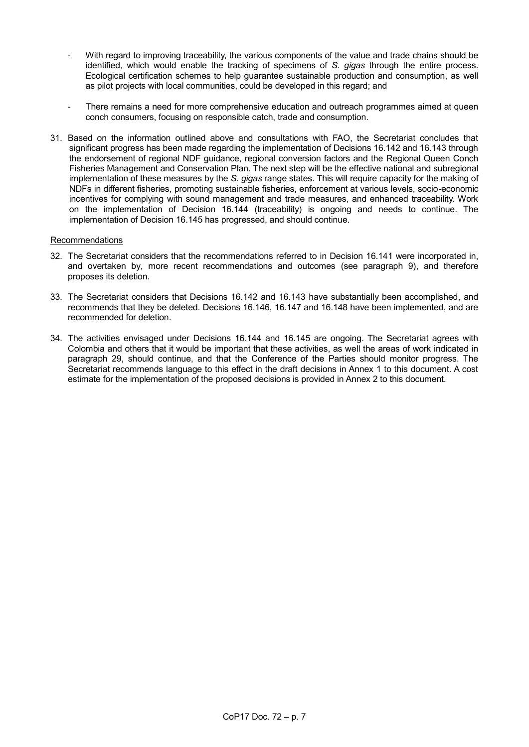- With regard to improving traceability, the various components of the value and trade chains should be identified, which would enable the tracking of specimens of *S. gigas* through the entire process. Ecological certification schemes to help guarantee sustainable production and consumption, as well as pilot projects with local communities, could be developed in this regard; and
- There remains a need for more comprehensive education and outreach programmes aimed at queen conch consumers, focusing on responsible catch, trade and consumption.
- 31. Based on the information outlined above and consultations with FAO, the Secretariat concludes that significant progress has been made regarding the implementation of Decisions 16.142 and 16.143 through the endorsement of regional NDF guidance, regional conversion factors and the Regional Queen Conch Fisheries Management and Conservation Plan. The next step will be the effective national and subregional implementation of these measures by the *S. gigas* range states. This will require capacity for the making of NDFs in different fisheries, promoting sustainable fisheries, enforcement at various levels, socio-economic incentives for complying with sound management and trade measures, and enhanced traceability. Work on the implementation of Decision 16.144 (traceability) is ongoing and needs to continue. The implementation of Decision 16.145 has progressed, and should continue.

#### Recommendations

- 32. The Secretariat considers that the recommendations referred to in Decision 16.141 were incorporated in, and overtaken by, more recent recommendations and outcomes (see paragraph 9), and therefore proposes its deletion.
- 33. The Secretariat considers that Decisions 16.142 and 16.143 have substantially been accomplished, and recommends that they be deleted. Decisions 16.146, 16.147 and 16.148 have been implemented, and are recommended for deletion.
- 34. The activities envisaged under Decisions 16.144 and 16.145 are ongoing. The Secretariat agrees with Colombia and others that it would be important that these activities, as well the areas of work indicated in paragraph 29, should continue, and that the Conference of the Parties should monitor progress. The Secretariat recommends language to this effect in the draft decisions in Annex 1 to this document. A cost estimate for the implementation of the proposed decisions is provided in Annex 2 to this document.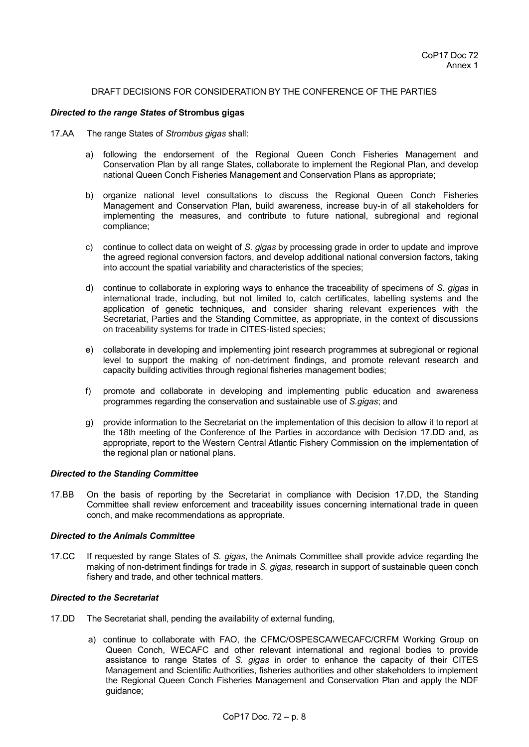#### DRAFT DECISIONS FOR CONSIDERATION BY THE CONFERENCE OF THE PARTIES

#### *Directed to the range States of* **Strombus gigas**

- 17.AA The range States of *Strombus gigas* shall:
	- a) following the endorsement of the Regional Queen Conch Fisheries Management and Conservation Plan by all range States, collaborate to implement the Regional Plan, and develop national Queen Conch Fisheries Management and Conservation Plans as appropriate;
	- b) organize national level consultations to discuss the Regional Queen Conch Fisheries Management and Conservation Plan, build awareness, increase buy-in of all stakeholders for implementing the measures, and contribute to future national, subregional and regional compliance;
	- c) continue to collect data on weight of *S. gigas* by processing grade in order to update and improve the agreed regional conversion factors, and develop additional national conversion factors, taking into account the spatial variability and characteristics of the species;
	- d) continue to collaborate in exploring ways to enhance the traceability of specimens of *S. gigas* in international trade, including, but not limited to, catch certificates, labelling systems and the application of genetic techniques, and consider sharing relevant experiences with the Secretariat, Parties and the Standing Committee, as appropriate, in the context of discussions on traceability systems for trade in CITES-listed species;
	- e) collaborate in developing and implementing joint research programmes at subregional or regional level to support the making of non-detriment findings, and promote relevant research and capacity building activities through regional fisheries management bodies;
	- f) promote and collaborate in developing and implementing public education and awareness programmes regarding the conservation and sustainable use of *S.gigas*; and
	- g) provide information to the Secretariat on the implementation of this decision to allow it to report at the 18th meeting of the Conference of the Parties in accordance with Decision 17.DD and, as appropriate, report to the Western Central Atlantic Fishery Commission on the implementation of the regional plan or national plans.

#### *Directed to the Standing Committee*

17.BB On the basis of reporting by the Secretariat in compliance with Decision 17.DD, the Standing Committee shall review enforcement and traceability issues concerning international trade in queen conch, and make recommendations as appropriate.

#### *Directed to the Animals Committee*

17.CC If requested by range States of *S. gigas*, the Animals Committee shall provide advice regarding the making of non-detriment findings for trade in *S. gigas*, research in support of sustainable queen conch fishery and trade, and other technical matters.

#### *Directed to the Secretariat*

- 17.DD The Secretariat shall, pending the availability of external funding,
	- a) continue to collaborate with FAO, the CFMC/OSPESCA/WECAFC/CRFM Working Group on Queen Conch, WECAFC and other relevant international and regional bodies to provide assistance to range States of *S. gigas* in order to enhance the capacity of their CITES Management and Scientific Authorities, fisheries authorities and other stakeholders to implement the Regional Queen Conch Fisheries Management and Conservation Plan and apply the NDF guidance;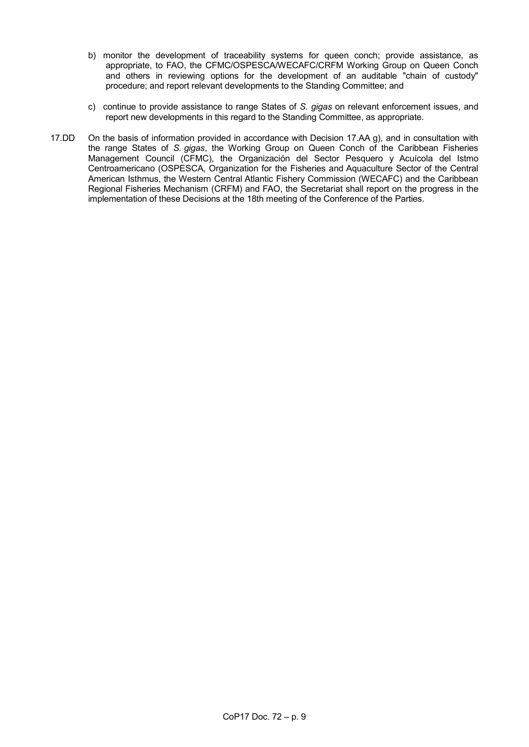- b) monitor the development of traceability systems for queen conch; provide assistance, as appropriate, to FAO, the CFMC/OSPESCA/WECAFC/CRFM Working Group on Queen Conch and others in reviewing options for the development of an auditable "chain of custody" procedure; and report relevant developments to the Standing Committee; and
- c) continue to provide assistance to range States of *S. gigas* on relevant enforcement issues, and report new developments in this regard to the Standing Committee, as appropriate.
- 17.DD On the basis of information provided in accordance with Decision 17.AA g), and in consultation with the range States of *S. gigas*, the Working Group on Queen Conch of the Caribbean Fisheries Management Council (CFMC), the Organización del Sector Pesquero y Acuícola del Istmo Centroamericano (OSPESCA, Organization for the Fisheries and Aquaculture Sector of the Central American Isthmus, the Western Central Atlantic Fishery Commission (WECAFC) and the Caribbean Regional Fisheries Mechanism (CRFM) and FAO, the Secretariat shall report on the progress in the implementation of these Decisions at the 18th meeting of the Conference of the Parties.